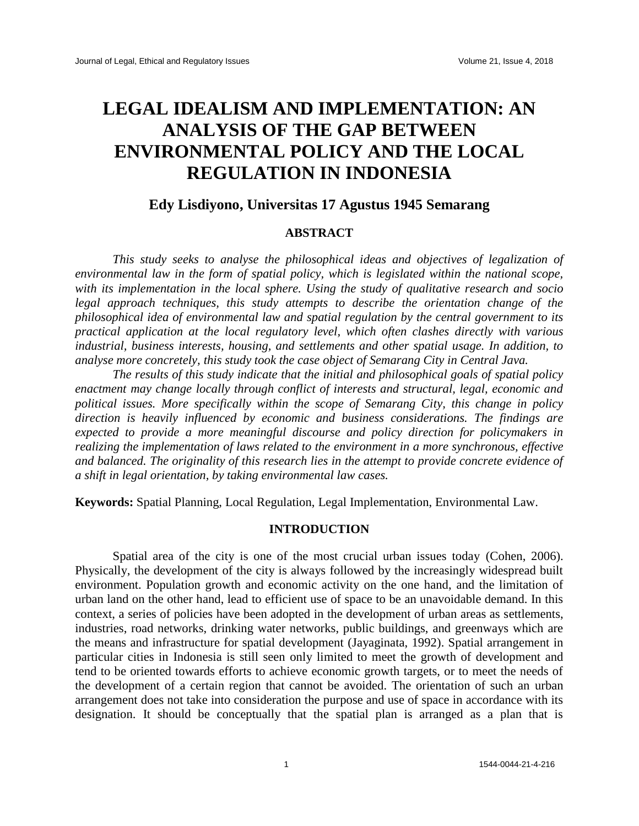# **LEGAL IDEALISM AND IMPLEMENTATION: AN ANALYSIS OF THE GAP BETWEEN ENVIRONMENTAL POLICY AND THE LOCAL REGULATION IN INDONESIA**

## **Edy Lisdiyono, Universitas 17 Agustus 1945 Semarang**

#### **ABSTRACT**

*This study seeks to analyse the philosophical ideas and objectives of legalization of environmental law in the form of spatial policy, which is legislated within the national scope, with its implementation in the local sphere. Using the study of qualitative research and socio legal approach techniques, this study attempts to describe the orientation change of the philosophical idea of environmental law and spatial regulation by the central government to its practical application at the local regulatory level, which often clashes directly with various industrial, business interests, housing, and settlements and other spatial usage. In addition, to analyse more concretely, this study took the case object of Semarang City in Central Java.* 

*The results of this study indicate that the initial and philosophical goals of spatial policy enactment may change locally through conflict of interests and structural, legal, economic and political issues. More specifically within the scope of Semarang City, this change in policy direction is heavily influenced by economic and business considerations. The findings are expected to provide a more meaningful discourse and policy direction for policymakers in realizing the implementation of laws related to the environment in a more synchronous, effective and balanced. The originality of this research lies in the attempt to provide concrete evidence of a shift in legal orientation, by taking environmental law cases.*

**Keywords:** Spatial Planning, Local Regulation, Legal Implementation, Environmental Law.

## **INTRODUCTION**

Spatial area of the city is one of the most crucial urban issues today (Cohen, 2006). Physically, the development of the city is always followed by the increasingly widespread built environment. Population growth and economic activity on the one hand, and the limitation of urban land on the other hand, lead to efficient use of space to be an unavoidable demand. In this context, a series of policies have been adopted in the development of urban areas as settlements, industries, road networks, drinking water networks, public buildings, and greenways which are the means and infrastructure for spatial development (Jayaginata, 1992). Spatial arrangement in particular cities in Indonesia is still seen only limited to meet the growth of development and tend to be oriented towards efforts to achieve economic growth targets, or to meet the needs of the development of a certain region that cannot be avoided. The orientation of such an urban arrangement does not take into consideration the purpose and use of space in accordance with its designation. It should be conceptually that the spatial plan is arranged as a plan that is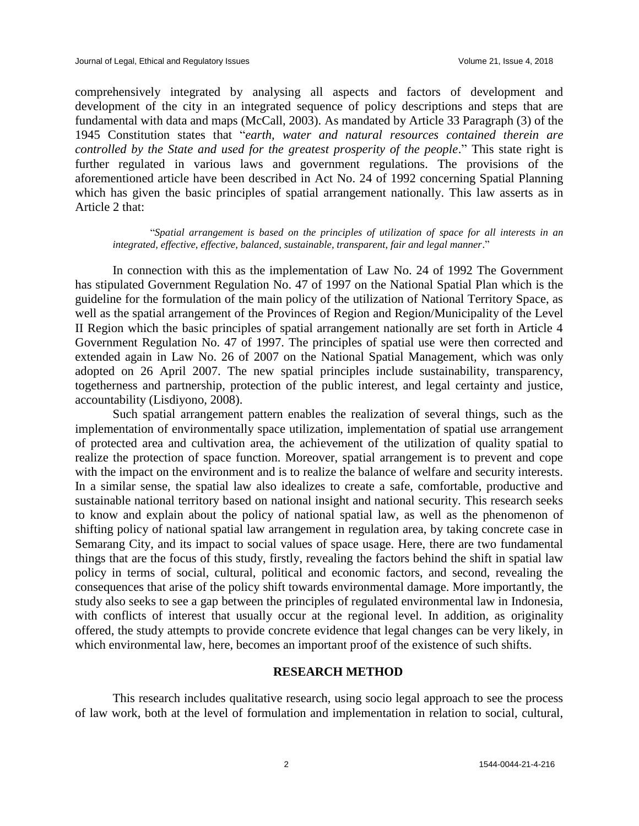comprehensively integrated by analysing all aspects and factors of development and development of the city in an integrated sequence of policy descriptions and steps that are fundamental with data and maps (McCall, 2003). As mandated by Article 33 Paragraph (3) of the 1945 Constitution states that "*earth, water and natural resources contained therein are controlled by the State and used for the greatest prosperity of the people.*" This state right is further regulated in various laws and government regulations. The provisions of the aforementioned article have been described in Act No. 24 of 1992 concerning Spatial Planning which has given the basic principles of spatial arrangement nationally. This law asserts as in Article 2 that:

"*Spatial arrangement is based on the principles of utilization of space for all interests in an integrated, effective, effective, balanced, sustainable, transparent, fair and legal manner*."

In connection with this as the implementation of Law No. 24 of 1992 The Government has stipulated Government Regulation No. 47 of 1997 on the National Spatial Plan which is the guideline for the formulation of the main policy of the utilization of National Territory Space, as well as the spatial arrangement of the Provinces of Region and Region/Municipality of the Level II Region which the basic principles of spatial arrangement nationally are set forth in Article 4 Government Regulation No. 47 of 1997. The principles of spatial use were then corrected and extended again in Law No. 26 of 2007 on the National Spatial Management, which was only adopted on 26 April 2007. The new spatial principles include sustainability, transparency, togetherness and partnership, protection of the public interest, and legal certainty and justice, accountability (Lisdiyono, 2008).

Such spatial arrangement pattern enables the realization of several things, such as the implementation of environmentally space utilization, implementation of spatial use arrangement of protected area and cultivation area, the achievement of the utilization of quality spatial to realize the protection of space function. Moreover, spatial arrangement is to prevent and cope with the impact on the environment and is to realize the balance of welfare and security interests. In a similar sense, the spatial law also idealizes to create a safe, comfortable, productive and sustainable national territory based on national insight and national security. This research seeks to know and explain about the policy of national spatial law, as well as the phenomenon of shifting policy of national spatial law arrangement in regulation area, by taking concrete case in Semarang City, and its impact to social values of space usage. Here, there are two fundamental things that are the focus of this study, firstly, revealing the factors behind the shift in spatial law policy in terms of social, cultural, political and economic factors, and second, revealing the consequences that arise of the policy shift towards environmental damage. More importantly, the study also seeks to see a gap between the principles of regulated environmental law in Indonesia, with conflicts of interest that usually occur at the regional level. In addition, as originality offered, the study attempts to provide concrete evidence that legal changes can be very likely, in which environmental law, here, becomes an important proof of the existence of such shifts.

## **RESEARCH METHOD**

This research includes qualitative research, using socio legal approach to see the process of law work, both at the level of formulation and implementation in relation to social, cultural,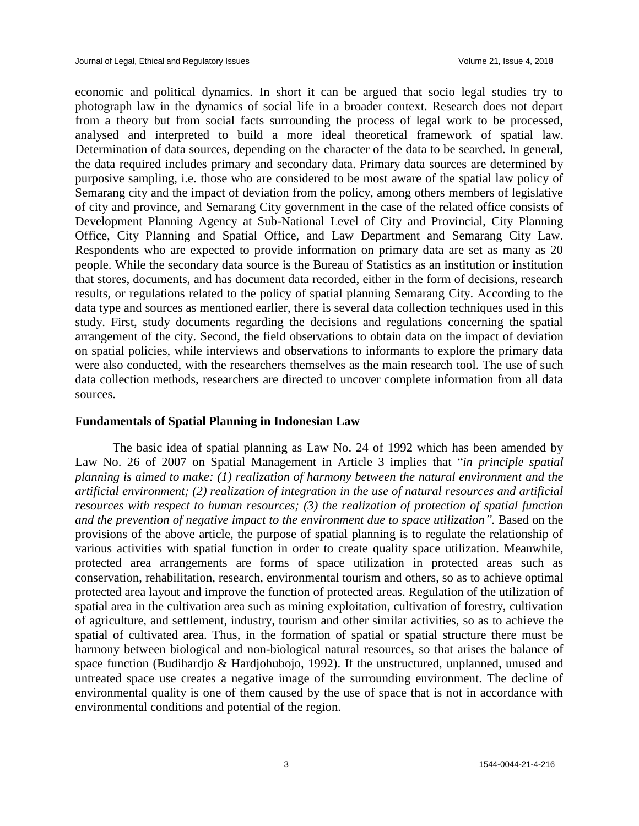economic and political dynamics. In short it can be argued that socio legal studies try to photograph law in the dynamics of social life in a broader context. Research does not depart from a theory but from social facts surrounding the process of legal work to be processed, analysed and interpreted to build a more ideal theoretical framework of spatial law. Determination of data sources, depending on the character of the data to be searched. In general, the data required includes primary and secondary data. Primary data sources are determined by purposive sampling, i.e. those who are considered to be most aware of the spatial law policy of Semarang city and the impact of deviation from the policy, among others members of legislative of city and province, and Semarang City government in the case of the related office consists of Development Planning Agency at Sub-National Level of City and Provincial, City Planning Office, City Planning and Spatial Office, and Law Department and Semarang City Law. Respondents who are expected to provide information on primary data are set as many as 20 people. While the secondary data source is the Bureau of Statistics as an institution or institution that stores, documents, and has document data recorded, either in the form of decisions, research results, or regulations related to the policy of spatial planning Semarang City. According to the data type and sources as mentioned earlier, there is several data collection techniques used in this study. First, study documents regarding the decisions and regulations concerning the spatial arrangement of the city. Second, the field observations to obtain data on the impact of deviation on spatial policies, while interviews and observations to informants to explore the primary data were also conducted, with the researchers themselves as the main research tool. The use of such data collection methods, researchers are directed to uncover complete information from all data sources.

## **Fundamentals of Spatial Planning in Indonesian Law**

The basic idea of spatial planning as Law No. 24 of 1992 which has been amended by Law No. 26 of 2007 on Spatial Management in Article 3 implies that "*in principle spatial planning is aimed to make: (1) realization of harmony between the natural environment and the artificial environment; (2) realization of integration in the use of natural resources and artificial resources with respect to human resources; (3) the realization of protection of spatial function and the prevention of negative impact to the environment due to space utilization*". Based on the provisions of the above article, the purpose of spatial planning is to regulate the relationship of various activities with spatial function in order to create quality space utilization. Meanwhile, protected area arrangements are forms of space utilization in protected areas such as conservation, rehabilitation, research, environmental tourism and others, so as to achieve optimal protected area layout and improve the function of protected areas. Regulation of the utilization of spatial area in the cultivation area such as mining exploitation, cultivation of forestry, cultivation of agriculture, and settlement, industry, tourism and other similar activities, so as to achieve the spatial of cultivated area. Thus, in the formation of spatial or spatial structure there must be harmony between biological and non-biological natural resources, so that arises the balance of space function (Budihardjo & Hardjohubojo, 1992). If the unstructured, unplanned, unused and untreated space use creates a negative image of the surrounding environment. The decline of environmental quality is one of them caused by the use of space that is not in accordance with environmental conditions and potential of the region.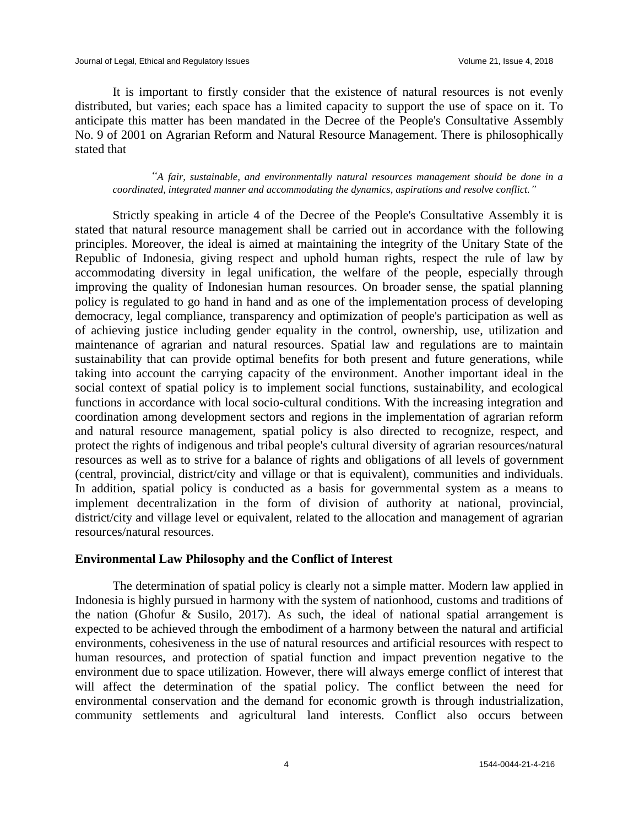It is important to firstly consider that the existence of natural resources is not evenly distributed, but varies; each space has a limited capacity to support the use of space on it. To anticipate this matter has been mandated in the Decree of the People's Consultative Assembly No. 9 of 2001 on Agrarian Reform and Natural Resource Management. There is philosophically stated that

## *"A fair, sustainable, and environmentally natural resources management should be done in a coordinated, integrated manner and accommodating the dynamics, aspirations and resolve conflict."*

Strictly speaking in article 4 of the Decree of the People's Consultative Assembly it is stated that natural resource management shall be carried out in accordance with the following principles. Moreover, the ideal is aimed at maintaining the integrity of the Unitary State of the Republic of Indonesia, giving respect and uphold human rights, respect the rule of law by accommodating diversity in legal unification, the welfare of the people, especially through improving the quality of Indonesian human resources. On broader sense, the spatial planning policy is regulated to go hand in hand and as one of the implementation process of developing democracy, legal compliance, transparency and optimization of people's participation as well as of achieving justice including gender equality in the control, ownership, use, utilization and maintenance of agrarian and natural resources. Spatial law and regulations are to maintain sustainability that can provide optimal benefits for both present and future generations, while taking into account the carrying capacity of the environment. Another important ideal in the social context of spatial policy is to implement social functions, sustainability, and ecological functions in accordance with local socio-cultural conditions. With the increasing integration and coordination among development sectors and regions in the implementation of agrarian reform and natural resource management, spatial policy is also directed to recognize, respect, and protect the rights of indigenous and tribal people's cultural diversity of agrarian resources/natural resources as well as to strive for a balance of rights and obligations of all levels of government (central, provincial, district/city and village or that is equivalent), communities and individuals. In addition, spatial policy is conducted as a basis for governmental system as a means to implement decentralization in the form of division of authority at national, provincial, district/city and village level or equivalent, related to the allocation and management of agrarian resources/natural resources.

## **Environmental Law Philosophy and the Conflict of Interest**

The determination of spatial policy is clearly not a simple matter. Modern law applied in Indonesia is highly pursued in harmony with the system of nationhood, customs and traditions of the nation (Ghofur & Susilo, 2017). As such, the ideal of national spatial arrangement is expected to be achieved through the embodiment of a harmony between the natural and artificial environments, cohesiveness in the use of natural resources and artificial resources with respect to human resources, and protection of spatial function and impact prevention negative to the environment due to space utilization. However, there will always emerge conflict of interest that will affect the determination of the spatial policy. The conflict between the need for environmental conservation and the demand for economic growth is through industrialization, community settlements and agricultural land interests. Conflict also occurs between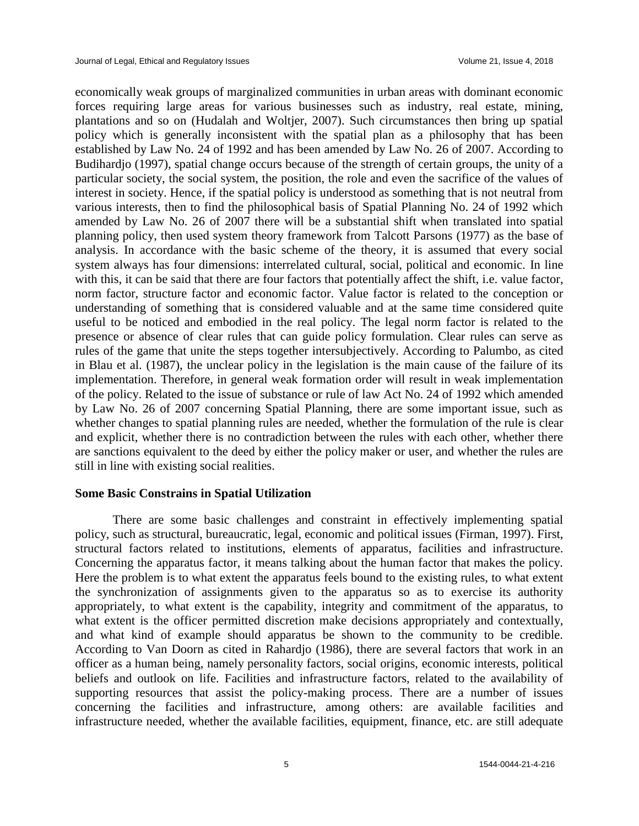economically weak groups of marginalized communities in urban areas with dominant economic forces requiring large areas for various businesses such as industry, real estate, mining, plantations and so on (Hudalah and Woltjer, 2007). Such circumstances then bring up spatial policy which is generally inconsistent with the spatial plan as a philosophy that has been established by Law No. 24 of 1992 and has been amended by Law No. 26 of 2007. According to Budihardjo (1997), spatial change occurs because of the strength of certain groups, the unity of a particular society, the social system, the position, the role and even the sacrifice of the values of interest in society. Hence, if the spatial policy is understood as something that is not neutral from various interests, then to find the philosophical basis of Spatial Planning No. 24 of 1992 which amended by Law No. 26 of 2007 there will be a substantial shift when translated into spatial planning policy, then used system theory framework from Talcott Parsons (1977) as the base of analysis. In accordance with the basic scheme of the theory, it is assumed that every social system always has four dimensions: interrelated cultural, social, political and economic. In line with this, it can be said that there are four factors that potentially affect the shift, i.e. value factor, norm factor, structure factor and economic factor. Value factor is related to the conception or understanding of something that is considered valuable and at the same time considered quite useful to be noticed and embodied in the real policy. The legal norm factor is related to the presence or absence of clear rules that can guide policy formulation. Clear rules can serve as rules of the game that unite the steps together intersubjectively. According to Palumbo, as cited in Blau et al. (1987), the unclear policy in the legislation is the main cause of the failure of its implementation. Therefore, in general weak formation order will result in weak implementation of the policy. Related to the issue of substance or rule of law Act No. 24 of 1992 which amended by Law No. 26 of 2007 concerning Spatial Planning, there are some important issue, such as whether changes to spatial planning rules are needed, whether the formulation of the rule is clear and explicit, whether there is no contradiction between the rules with each other, whether there are sanctions equivalent to the deed by either the policy maker or user, and whether the rules are still in line with existing social realities.

## **Some Basic Constrains in Spatial Utilization**

There are some basic challenges and constraint in effectively implementing spatial policy, such as structural, bureaucratic, legal, economic and political issues (Firman, 1997). First, structural factors related to institutions, elements of apparatus, facilities and infrastructure. Concerning the apparatus factor, it means talking about the human factor that makes the policy. Here the problem is to what extent the apparatus feels bound to the existing rules, to what extent the synchronization of assignments given to the apparatus so as to exercise its authority appropriately, to what extent is the capability, integrity and commitment of the apparatus, to what extent is the officer permitted discretion make decisions appropriately and contextually, and what kind of example should apparatus be shown to the community to be credible. According to Van Doorn as cited in Rahardjo (1986), there are several factors that work in an officer as a human being, namely personality factors, social origins, economic interests, political beliefs and outlook on life. Facilities and infrastructure factors, related to the availability of supporting resources that assist the policy-making process. There are a number of issues concerning the facilities and infrastructure, among others: are available facilities and infrastructure needed, whether the available facilities, equipment, finance, etc. are still adequate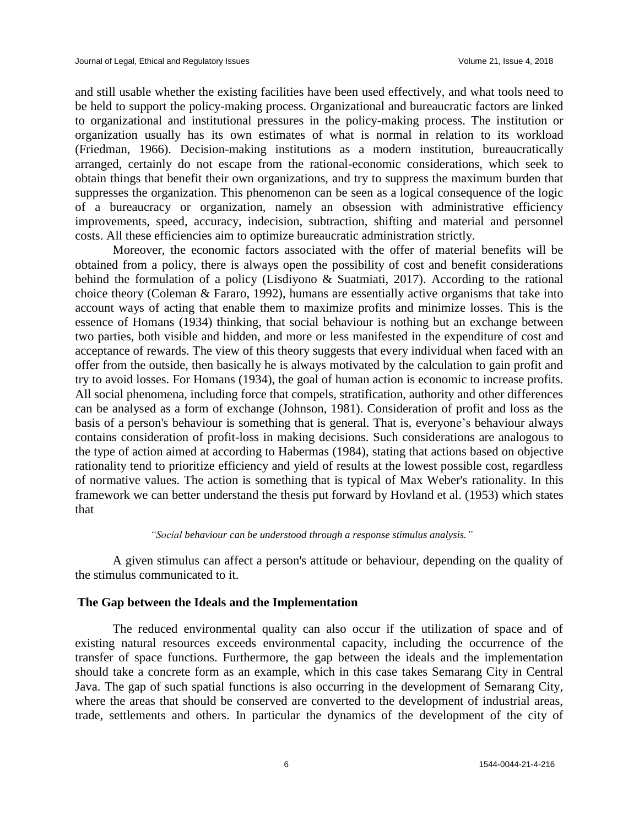and still usable whether the existing facilities have been used effectively, and what tools need to be held to support the policy-making process. Organizational and bureaucratic factors are linked to organizational and institutional pressures in the policy-making process. The institution or organization usually has its own estimates of what is normal in relation to its workload (Friedman, 1966). Decision-making institutions as a modern institution, bureaucratically arranged, certainly do not escape from the rational-economic considerations, which seek to obtain things that benefit their own organizations, and try to suppress the maximum burden that suppresses the organization. This phenomenon can be seen as a logical consequence of the logic of a bureaucracy or organization, namely an obsession with administrative efficiency improvements, speed, accuracy, indecision, subtraction, shifting and material and personnel costs. All these efficiencies aim to optimize bureaucratic administration strictly.

Moreover, the economic factors associated with the offer of material benefits will be obtained from a policy, there is always open the possibility of cost and benefit considerations behind the formulation of a policy (Lisdiyono & Suatmiati, 2017). According to the rational choice theory (Coleman & Fararo, 1992), humans are essentially active organisms that take into account ways of acting that enable them to maximize profits and minimize losses. This is the essence of Homans (1934) thinking, that social behaviour is nothing but an exchange between two parties, both visible and hidden, and more or less manifested in the expenditure of cost and acceptance of rewards. The view of this theory suggests that every individual when faced with an offer from the outside, then basically he is always motivated by the calculation to gain profit and try to avoid losses. For Homans (1934), the goal of human action is economic to increase profits. All social phenomena, including force that compels, stratification, authority and other differences can be analysed as a form of exchange (Johnson, 1981). Consideration of profit and loss as the basis of a person's behaviour is something that is general. That is, everyone's behaviour always contains consideration of profit-loss in making decisions. Such considerations are analogous to the type of action aimed at according to Habermas (1984), stating that actions based on objective rationality tend to prioritize efficiency and yield of results at the lowest possible cost, regardless of normative values. The action is something that is typical of Max Weber's rationality. In this framework we can better understand the thesis put forward by Hovland et al. (1953) which states that

#### *"Social behaviour can be understood through a response stimulus analysis."*

A given stimulus can affect a person's attitude or behaviour, depending on the quality of the stimulus communicated to it.

#### **The Gap between the Ideals and the Implementation**

The reduced environmental quality can also occur if the utilization of space and of existing natural resources exceeds environmental capacity, including the occurrence of the transfer of space functions. Furthermore, the gap between the ideals and the implementation should take a concrete form as an example, which in this case takes Semarang City in Central Java. The gap of such spatial functions is also occurring in the development of Semarang City, where the areas that should be conserved are converted to the development of industrial areas, trade, settlements and others. In particular the dynamics of the development of the city of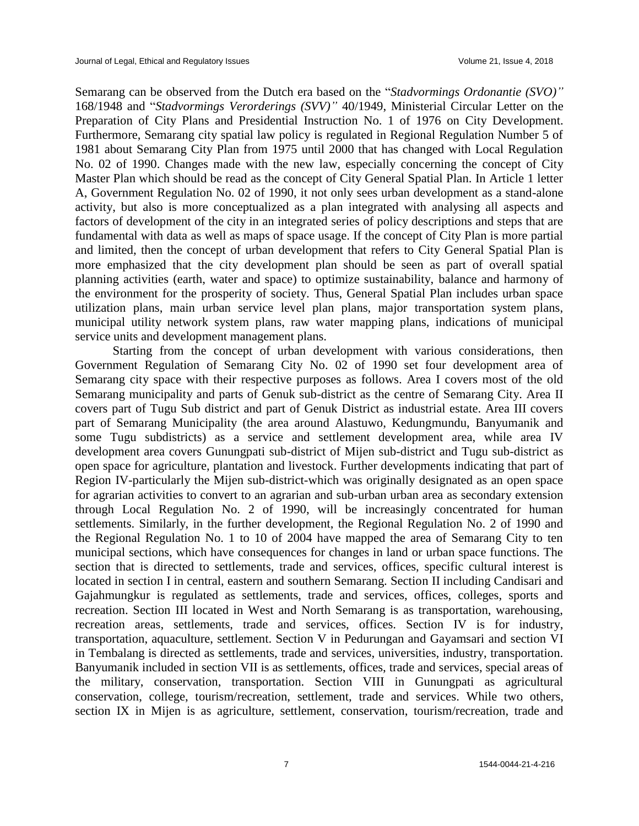Semarang can be observed from the Dutch era based on the "*Stadvormings Ordonantie (SVO)"* 168/1948 and "*Stadvormings Verorderings (SVV)"* 40/1949, Ministerial Circular Letter on the Preparation of City Plans and Presidential Instruction No. 1 of 1976 on City Development. Furthermore, Semarang city spatial law policy is regulated in Regional Regulation Number 5 of 1981 about Semarang City Plan from 1975 until 2000 that has changed with Local Regulation No. 02 of 1990. Changes made with the new law, especially concerning the concept of City Master Plan which should be read as the concept of City General Spatial Plan. In Article 1 letter A, Government Regulation No. 02 of 1990, it not only sees urban development as a stand-alone activity, but also is more conceptualized as a plan integrated with analysing all aspects and factors of development of the city in an integrated series of policy descriptions and steps that are fundamental with data as well as maps of space usage. If the concept of City Plan is more partial and limited, then the concept of urban development that refers to City General Spatial Plan is more emphasized that the city development plan should be seen as part of overall spatial planning activities (earth, water and space) to optimize sustainability, balance and harmony of the environment for the prosperity of society. Thus, General Spatial Plan includes urban space utilization plans, main urban service level plan plans, major transportation system plans, municipal utility network system plans, raw water mapping plans, indications of municipal service units and development management plans.

Starting from the concept of urban development with various considerations, then Government Regulation of Semarang City No. 02 of 1990 set four development area of Semarang city space with their respective purposes as follows. Area I covers most of the old Semarang municipality and parts of Genuk sub-district as the centre of Semarang City. Area II covers part of Tugu Sub district and part of Genuk District as industrial estate. Area III covers part of Semarang Municipality (the area around Alastuwo, Kedungmundu, Banyumanik and some Tugu subdistricts) as a service and settlement development area, while area IV development area covers Gunungpati sub-district of Mijen sub-district and Tugu sub-district as open space for agriculture, plantation and livestock. Further developments indicating that part of Region IV-particularly the Mijen sub-district-which was originally designated as an open space for agrarian activities to convert to an agrarian and sub-urban urban area as secondary extension through Local Regulation No. 2 of 1990, will be increasingly concentrated for human settlements. Similarly, in the further development, the Regional Regulation No. 2 of 1990 and the Regional Regulation No. 1 to 10 of 2004 have mapped the area of Semarang City to ten municipal sections, which have consequences for changes in land or urban space functions. The section that is directed to settlements, trade and services, offices, specific cultural interest is located in section I in central, eastern and southern Semarang. Section II including Candisari and Gajahmungkur is regulated as settlements, trade and services, offices, colleges, sports and recreation. Section III located in West and North Semarang is as transportation, warehousing, recreation areas, settlements, trade and services, offices. Section IV is for industry, transportation, aquaculture, settlement. Section V in Pedurungan and Gayamsari and section VI in Tembalang is directed as settlements, trade and services, universities, industry, transportation. Banyumanik included in section VII is as settlements, offices, trade and services, special areas of the military, conservation, transportation. Section VIII in Gunungpati as agricultural conservation, college, tourism/recreation, settlement, trade and services. While two others, section IX in Mijen is as agriculture, settlement, conservation, tourism/recreation, trade and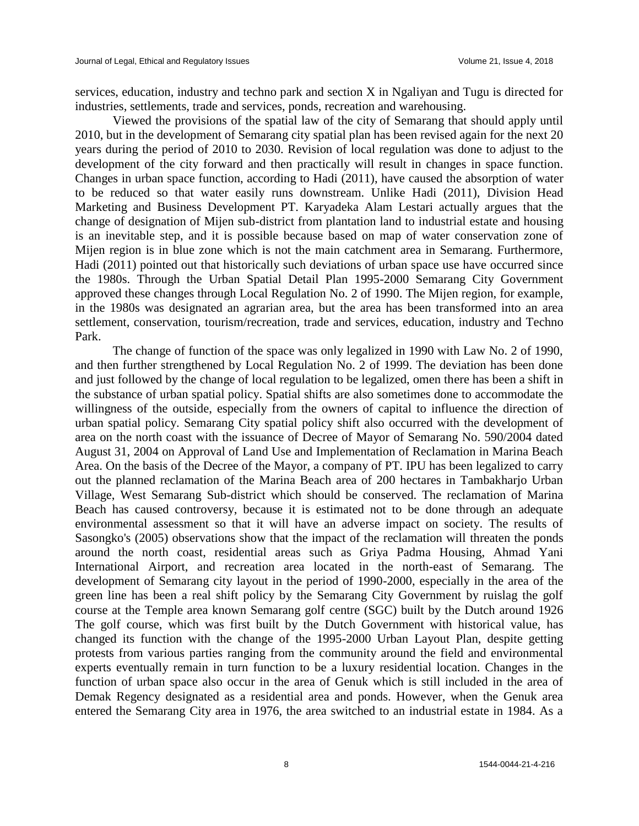services, education, industry and techno park and section X in Ngaliyan and Tugu is directed for industries, settlements, trade and services, ponds, recreation and warehousing.

Viewed the provisions of the spatial law of the city of Semarang that should apply until 2010, but in the development of Semarang city spatial plan has been revised again for the next 20 years during the period of 2010 to 2030. Revision of local regulation was done to adjust to the development of the city forward and then practically will result in changes in space function. Changes in urban space function, according to Hadi (2011), have caused the absorption of water to be reduced so that water easily runs downstream. Unlike Hadi (2011), Division Head Marketing and Business Development PT. Karyadeka Alam Lestari actually argues that the change of designation of Mijen sub-district from plantation land to industrial estate and housing is an inevitable step, and it is possible because based on map of water conservation zone of Mijen region is in blue zone which is not the main catchment area in Semarang. Furthermore, Hadi (2011) pointed out that historically such deviations of urban space use have occurred since the 1980s. Through the Urban Spatial Detail Plan 1995-2000 Semarang City Government approved these changes through Local Regulation No. 2 of 1990. The Mijen region, for example, in the 1980s was designated an agrarian area, but the area has been transformed into an area settlement, conservation, tourism/recreation, trade and services, education, industry and Techno Park.

The change of function of the space was only legalized in 1990 with Law No. 2 of 1990, and then further strengthened by Local Regulation No. 2 of 1999. The deviation has been done and just followed by the change of local regulation to be legalized, omen there has been a shift in the substance of urban spatial policy. Spatial shifts are also sometimes done to accommodate the willingness of the outside, especially from the owners of capital to influence the direction of urban spatial policy. Semarang City spatial policy shift also occurred with the development of area on the north coast with the issuance of Decree of Mayor of Semarang No. 590/2004 dated August 31, 2004 on Approval of Land Use and Implementation of Reclamation in Marina Beach Area. On the basis of the Decree of the Mayor, a company of PT. IPU has been legalized to carry out the planned reclamation of the Marina Beach area of 200 hectares in Tambakharjo Urban Village, West Semarang Sub-district which should be conserved. The reclamation of Marina Beach has caused controversy, because it is estimated not to be done through an adequate environmental assessment so that it will have an adverse impact on society. The results of Sasongko's (2005) observations show that the impact of the reclamation will threaten the ponds around the north coast, residential areas such as Griya Padma Housing, Ahmad Yani International Airport, and recreation area located in the north-east of Semarang. The development of Semarang city layout in the period of 1990-2000, especially in the area of the green line has been a real shift policy by the Semarang City Government by ruislag the golf course at the Temple area known Semarang golf centre (SGC) built by the Dutch around 1926 The golf course, which was first built by the Dutch Government with historical value, has changed its function with the change of the 1995-2000 Urban Layout Plan, despite getting protests from various parties ranging from the community around the field and environmental experts eventually remain in turn function to be a luxury residential location. Changes in the function of urban space also occur in the area of Genuk which is still included in the area of Demak Regency designated as a residential area and ponds. However, when the Genuk area entered the Semarang City area in 1976, the area switched to an industrial estate in 1984. As a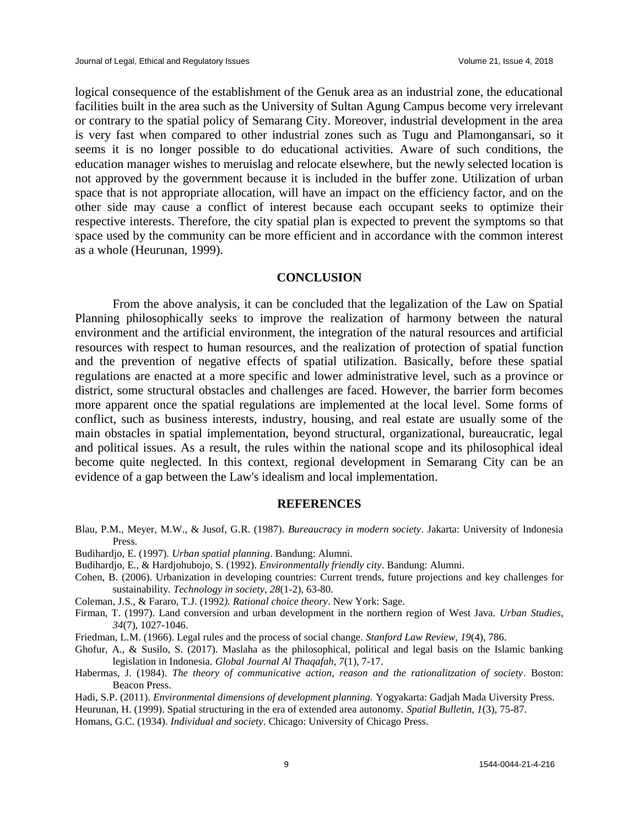logical consequence of the establishment of the Genuk area as an industrial zone, the educational facilities built in the area such as the University of Sultan Agung Campus become very irrelevant or contrary to the spatial policy of Semarang City. Moreover, industrial development in the area is very fast when compared to other industrial zones such as Tugu and Plamongansari, so it seems it is no longer possible to do educational activities. Aware of such conditions, the education manager wishes to meruislag and relocate elsewhere, but the newly selected location is not approved by the government because it is included in the buffer zone. Utilization of urban space that is not appropriate allocation, will have an impact on the efficiency factor, and on the other side may cause a conflict of interest because each occupant seeks to optimize their respective interests. Therefore, the city spatial plan is expected to prevent the symptoms so that space used by the community can be more efficient and in accordance with the common interest as a whole (Heurunan, 1999).

#### **CONCLUSION**

From the above analysis, it can be concluded that the legalization of the Law on Spatial Planning philosophically seeks to improve the realization of harmony between the natural environment and the artificial environment, the integration of the natural resources and artificial resources with respect to human resources, and the realization of protection of spatial function and the prevention of negative effects of spatial utilization. Basically, before these spatial regulations are enacted at a more specific and lower administrative level, such as a province or district, some structural obstacles and challenges are faced. However, the barrier form becomes more apparent once the spatial regulations are implemented at the local level. Some forms of conflict, such as business interests, industry, housing, and real estate are usually some of the main obstacles in spatial implementation, beyond structural, organizational, bureaucratic, legal and political issues. As a result, the rules within the national scope and its philosophical ideal become quite neglected. In this context, regional development in Semarang City can be an evidence of a gap between the Law's idealism and local implementation.

#### **REFERENCES**

- Blau, P.M., Meyer, M.W., & Jusof, G.R. (1987). *Bureaucracy in modern society*. Jakarta: University of Indonesia Press.
- Budihardjo, E. (1997). *Urban spatial planning*. Bandung: Alumni.
- Budihardjo, E., & Hardjohubojo, S. (1992). *Environmentally friendly city*. Bandung: Alumni.
- Cohen, B. (2006). Urbanization in developing countries: Current trends, future projections and key challenges for sustainability. *Technology in society*, *28*(1-2), 63-80.
- Coleman, J.S., & Fararo, T.J. (1992*). Rational choice theory*. New York: Sage.
- Firman, T. (1997). Land conversion and urban development in the northern region of West Java. *Urban Studies*, *34*(7), 1027-1046.
- Friedman, L.M. (1966). Legal rules and the process of social change. *Stanford Law Review, 19*(4), 786.
- Ghofur, A., & Susilo, S. (2017). Maslaha as the philosophical, political and legal basis on the Islamic banking legislation in Indonesia. *Global Journal Al Thaqafah, 7*(1), 7-17.
- Habermas, J. (1984). *The theory of communicative action, reason and the rationalitzation of society*. Boston: Beacon Press.
- Hadi, S.P. (2011). *Environmental dimensions of development planning.* Yogyakarta: Gadjah Mada Uiversity Press.

Heurunan, H. (1999). Spatial structuring in the era of extended area autonomy. *Spatial Bulletin, 1*(3), 75-87.

Homans, G.C. (1934). *Individual and society*. Chicago: University of Chicago Press.